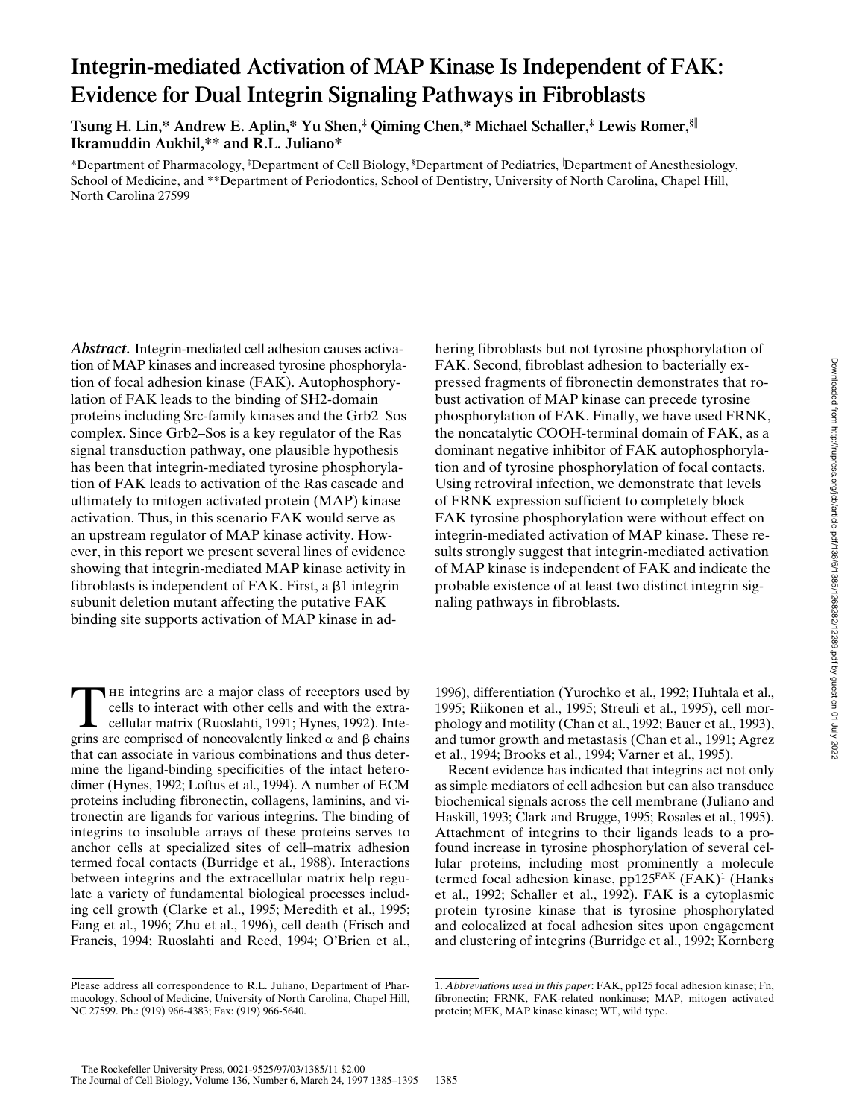# **Integrin-mediated Activation of MAP Kinase Is Independent of FAK: Evidence for Dual Integrin Signaling Pathways in Fibroblasts**

**Tsung H. Lin,\* Andrew E. Aplin,\* Yu Shen,‡ Qiming Chen,\* Michael Schaller,‡ Lewis Romer,§**<sup>i</sup> **Ikramuddin Aukhil,\*\* and R.L. Juliano\***

\*Department of Pharmacology, ‡ Department of Cell Biology, § Department of Pediatrics, <sup>i</sup> Department of Anesthesiology, School of Medicine, and \*\*Department of Periodontics, School of Dentistry, University of North Carolina, Chapel Hill, North Carolina 27599

*Abstract.* Integrin-mediated cell adhesion causes activation of MAP kinases and increased tyrosine phosphorylation of focal adhesion kinase (FAK). Autophosphorylation of FAK leads to the binding of SH2-domain proteins including Src-family kinases and the Grb2–Sos complex. Since Grb2–Sos is a key regulator of the Ras signal transduction pathway, one plausible hypothesis has been that integrin-mediated tyrosine phosphorylation of FAK leads to activation of the Ras cascade and ultimately to mitogen activated protein (MAP) kinase activation. Thus, in this scenario FAK would serve as an upstream regulator of MAP kinase activity. However, in this report we present several lines of evidence showing that integrin-mediated MAP kinase activity in fibroblasts is independent of FAK. First, a  $\beta$ 1 integrin subunit deletion mutant affecting the putative FAK binding site supports activation of MAP kinase in ad-

The integrins are a major class of receptors used by<br>cells to interact with other cells and with the extra-<br>cellular matrix (Ruoslahti, 1991; Hynes, 1992). Inte-<br>prins are comprised of noncovalently linked  $\alpha$  and  $\beta$  c cells to interact with other cells and with the extragrins are comprised of noncovalently linked  $\alpha$  and  $\beta$  chains that can associate in various combinations and thus determine the ligand-binding specificities of the intact heterodimer (Hynes, 1992; Loftus et al., 1994). A number of ECM proteins including fibronectin, collagens, laminins, and vitronectin are ligands for various integrins. The binding of integrins to insoluble arrays of these proteins serves to anchor cells at specialized sites of cell–matrix adhesion termed focal contacts (Burridge et al., 1988). Interactions between integrins and the extracellular matrix help regulate a variety of fundamental biological processes including cell growth (Clarke et al., 1995; Meredith et al., 1995; Fang et al., 1996; Zhu et al., 1996), cell death (Frisch and Francis, 1994; Ruoslahti and Reed, 1994; O'Brien et al.,

hering fibroblasts but not tyrosine phosphorylation of FAK. Second, fibroblast adhesion to bacterially expressed fragments of fibronectin demonstrates that robust activation of MAP kinase can precede tyrosine phosphorylation of FAK. Finally, we have used FRNK, the noncatalytic COOH-terminal domain of FAK, as a dominant negative inhibitor of FAK autophosphorylation and of tyrosine phosphorylation of focal contacts. Using retroviral infection, we demonstrate that levels of FRNK expression sufficient to completely block FAK tyrosine phosphorylation were without effect on integrin-mediated activation of MAP kinase. These results strongly suggest that integrin-mediated activation of MAP kinase is independent of FAK and indicate the probable existence of at least two distinct integrin signaling pathways in fibroblasts.

1996), differentiation (Yurochko et al., 1992; Huhtala et al., 1995; Riikonen et al., 1995; Streuli et al., 1995), cell morphology and motility (Chan et al., 1992; Bauer et al., 1993), and tumor growth and metastasis (Chan et al., 1991; Agrez et al., 1994; Brooks et al., 1994; Varner et al., 1995).

Recent evidence has indicated that integrins act not only as simple mediators of cell adhesion but can also transduce biochemical signals across the cell membrane (Juliano and Haskill, 1993; Clark and Brugge, 1995; Rosales et al., 1995). Attachment of integrins to their ligands leads to a profound increase in tyrosine phosphorylation of several cellular proteins, including most prominently a molecule termed focal adhesion kinase, pp125<sup>FAK</sup> (FAK)<sup>1</sup> (Hanks et al., 1992; Schaller et al., 1992). FAK is a cytoplasmic protein tyrosine kinase that is tyrosine phosphorylated and colocalized at focal adhesion sites upon engagement and clustering of integrins (Burridge et al., 1992; Kornberg

Please address all correspondence to R.L. Juliano, Department of Pharmacology, School of Medicine, University of North Carolina, Chapel Hill, NC 27599. Ph.: (919) 966-4383; Fax: (919) 966-5640.

<sup>1.</sup> *Abbreviations used in this paper*: FAK, pp125 focal adhesion kinase; Fn, fibronectin; FRNK, FAK-related nonkinase; MAP, mitogen activated protein; MEK, MAP kinase kinase; WT, wild type.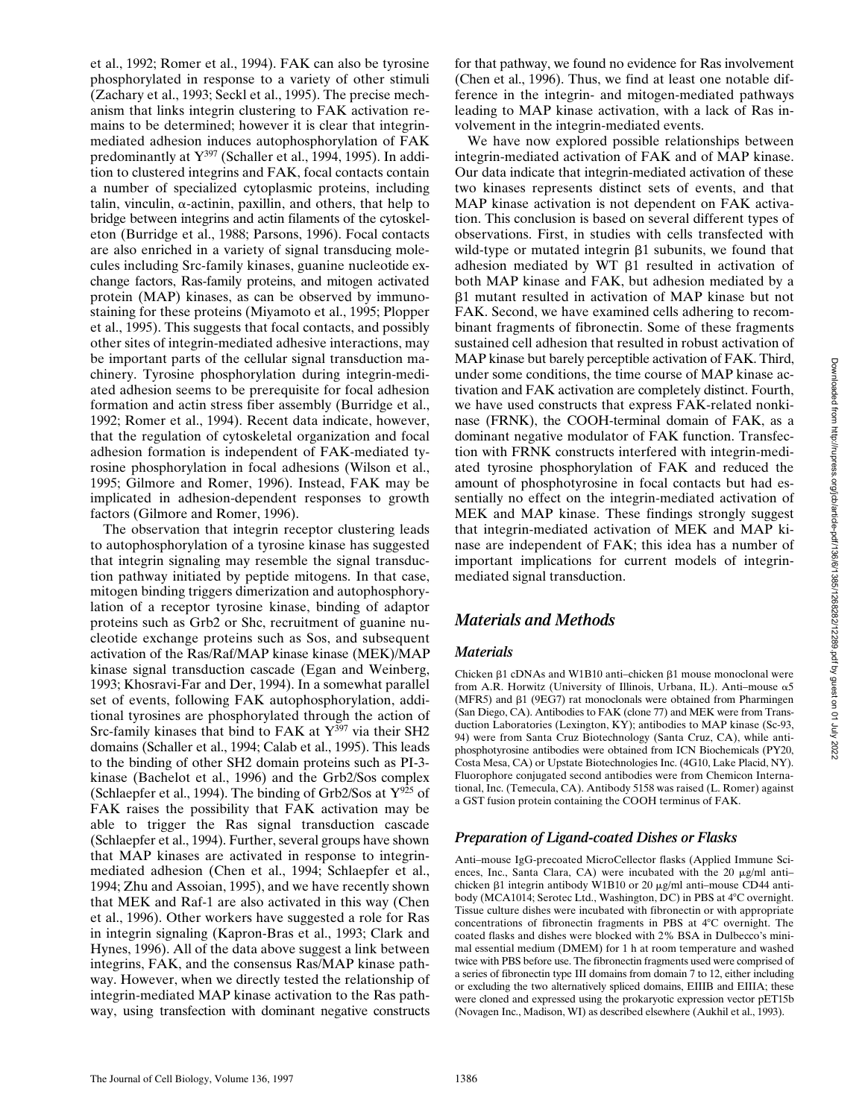et al., 1992; Romer et al., 1994). FAK can also be tyrosine phosphorylated in response to a variety of other stimuli (Zachary et al., 1993; Seckl et al., 1995). The precise mechanism that links integrin clustering to FAK activation remains to be determined; however it is clear that integrinmediated adhesion induces autophosphorylation of FAK predominantly at  $Y^{397}$  (Schaller et al., 1994, 1995). In addition to clustered integrins and FAK, focal contacts contain a number of specialized cytoplasmic proteins, including talin, vinculin,  $\alpha$ -actinin, paxillin, and others, that help to bridge between integrins and actin filaments of the cytoskeleton (Burridge et al., 1988; Parsons, 1996). Focal contacts are also enriched in a variety of signal transducing molecules including Src-family kinases, guanine nucleotide exchange factors, Ras-family proteins, and mitogen activated protein (MAP) kinases, as can be observed by immunostaining for these proteins (Miyamoto et al., 1995; Plopper et al., 1995). This suggests that focal contacts, and possibly other sites of integrin-mediated adhesive interactions, may be important parts of the cellular signal transduction machinery. Tyrosine phosphorylation during integrin-mediated adhesion seems to be prerequisite for focal adhesion formation and actin stress fiber assembly (Burridge et al., 1992; Romer et al., 1994). Recent data indicate, however, that the regulation of cytoskeletal organization and focal adhesion formation is independent of FAK-mediated tyrosine phosphorylation in focal adhesions (Wilson et al., 1995; Gilmore and Romer, 1996). Instead, FAK may be implicated in adhesion-dependent responses to growth factors (Gilmore and Romer, 1996).

The observation that integrin receptor clustering leads to autophosphorylation of a tyrosine kinase has suggested that integrin signaling may resemble the signal transduction pathway initiated by peptide mitogens. In that case, mitogen binding triggers dimerization and autophosphorylation of a receptor tyrosine kinase, binding of adaptor proteins such as Grb2 or Shc, recruitment of guanine nucleotide exchange proteins such as Sos, and subsequent activation of the Ras/Raf/MAP kinase kinase (MEK)/MAP kinase signal transduction cascade (Egan and Weinberg, 1993; Khosravi-Far and Der, 1994). In a somewhat parallel set of events, following FAK autophosphorylation, additional tyrosines are phosphorylated through the action of Src-family kinases that bind to FAK at  $Y^{397}$  via their SH2 domains (Schaller et al., 1994; Calab et al., 1995). This leads to the binding of other SH2 domain proteins such as PI-3 kinase (Bachelot et al., 1996) and the Grb2/Sos complex (Schlaepfer et al., 1994). The binding of Grb2/Sos at  $Y^{925}$  of FAK raises the possibility that FAK activation may be able to trigger the Ras signal transduction cascade (Schlaepfer et al., 1994). Further, several groups have shown that MAP kinases are activated in response to integrinmediated adhesion (Chen et al., 1994; Schlaepfer et al., 1994; Zhu and Assoian, 1995), and we have recently shown that MEK and Raf-1 are also activated in this way (Chen et al., 1996). Other workers have suggested a role for Ras in integrin signaling (Kapron-Bras et al., 1993; Clark and Hynes, 1996). All of the data above suggest a link between integrins, FAK, and the consensus Ras/MAP kinase pathway. However, when we directly tested the relationship of integrin-mediated MAP kinase activation to the Ras pathway, using transfection with dominant negative constructs for that pathway, we found no evidence for Ras involvement (Chen et al., 1996). Thus, we find at least one notable difference in the integrin- and mitogen-mediated pathways leading to MAP kinase activation, with a lack of Ras involvement in the integrin-mediated events.

We have now explored possible relationships between integrin-mediated activation of FAK and of MAP kinase. Our data indicate that integrin-mediated activation of these two kinases represents distinct sets of events, and that MAP kinase activation is not dependent on FAK activation. This conclusion is based on several different types of observations. First, in studies with cells transfected with wild-type or mutated integrin  $\beta$ 1 subunits, we found that adhesion mediated by WT  $\beta$ 1 resulted in activation of both MAP kinase and FAK, but adhesion mediated by a b1 mutant resulted in activation of MAP kinase but not FAK. Second, we have examined cells adhering to recombinant fragments of fibronectin. Some of these fragments sustained cell adhesion that resulted in robust activation of MAP kinase but barely perceptible activation of FAK. Third, under some conditions, the time course of MAP kinase activation and FAK activation are completely distinct. Fourth, we have used constructs that express FAK-related nonkinase (FRNK), the COOH-terminal domain of FAK, as a dominant negative modulator of FAK function. Transfection with FRNK constructs interfered with integrin-mediated tyrosine phosphorylation of FAK and reduced the amount of phosphotyrosine in focal contacts but had essentially no effect on the integrin-mediated activation of MEK and MAP kinase. These findings strongly suggest that integrin-mediated activation of MEK and MAP kinase are independent of FAK; this idea has a number of important implications for current models of integrinmediated signal transduction.

## *Materials and Methods*

### *Materials*

Chicken  $\beta$ 1 cDNAs and W1B10 anti-chicken  $\beta$ 1 mouse monoclonal were from A.R. Horwitz (University of Illinois, Urbana, IL). Anti-mouse  $\alpha$ 5 (MFR5) and  $\beta$ 1 (9EG7) rat monoclonals were obtained from Pharmingen (San Diego, CA). Antibodies to FAK (clone 77) and MEK were from Transduction Laboratories (Lexington, KY); antibodies to MAP kinase (Sc-93, 94) were from Santa Cruz Biotechnology (Santa Cruz, CA), while antiphosphotyrosine antibodies were obtained from ICN Biochemicals (PY20, Costa Mesa, CA) or Upstate Biotechnologies Inc. (4G10, Lake Placid, NY). Fluorophore conjugated second antibodies were from Chemicon International, Inc. (Temecula, CA). Antibody 5158 was raised (L. Romer) against a GST fusion protein containing the COOH terminus of FAK.

## *Preparation of Ligand-coated Dishes or Flasks*

Anti–mouse IgG-precoated MicroCellector flasks (Applied Immune Sciences, Inc., Santa Clara, CA) were incubated with the 20  $\mu$ g/ml antichicken  $\beta$ 1 integrin antibody W1B10 or 20  $\mu$ g/ml anti-mouse CD44 antibody (MCA1014; Serotec Ltd., Washington, DC) in PBS at 4°C overnight. Tissue culture dishes were incubated with fibronectin or with appropriate concentrations of fibronectin fragments in PBS at 4°C overnight. The coated flasks and dishes were blocked with 2% BSA in Dulbecco's minimal essential medium (DMEM) for 1 h at room temperature and washed twice with PBS before use. The fibronectin fragments used were comprised of a series of fibronectin type III domains from domain 7 to 12, either including or excluding the two alternatively spliced domains, EIIIB and EIIIA; these were cloned and expressed using the prokaryotic expression vector pET15b (Novagen Inc., Madison, WI) as described elsewhere (Aukhil et al., 1993).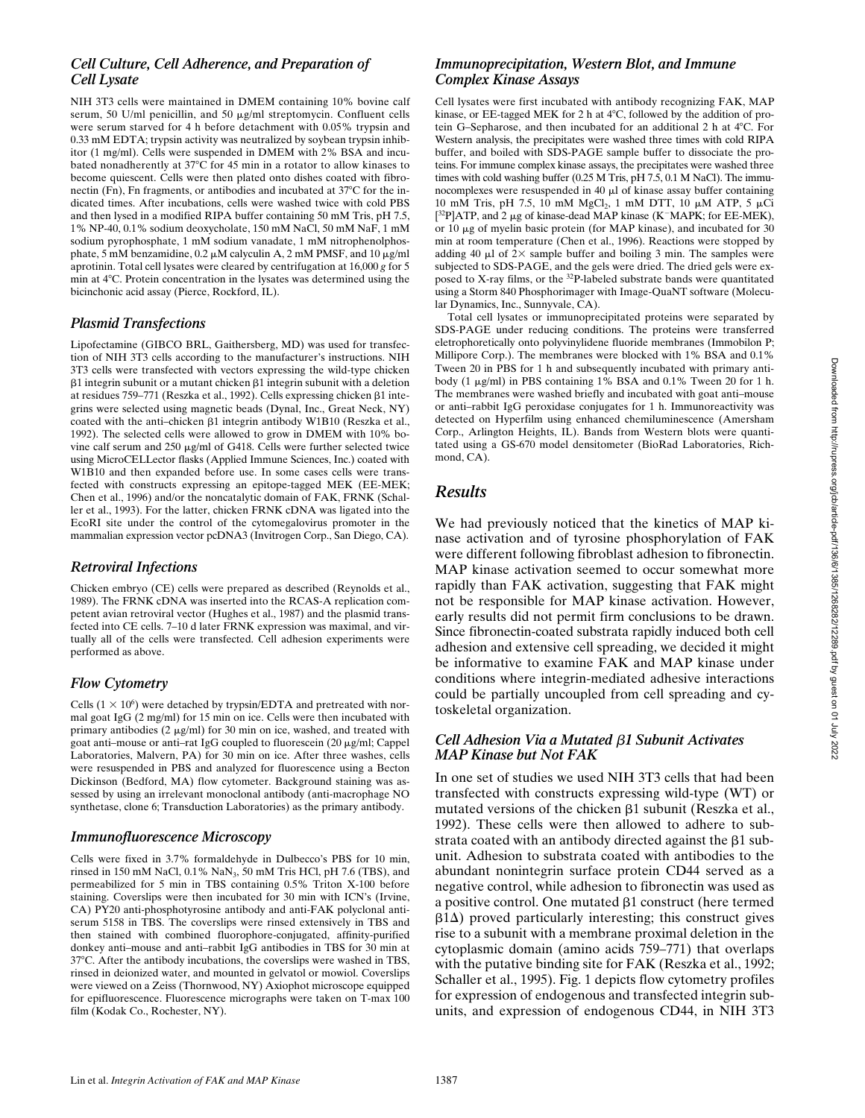## *Cell Culture, Cell Adherence, and Preparation of Cell Lysate*

NIH 3T3 cells were maintained in DMEM containing 10% bovine calf serum, 50 U/ml penicillin, and 50 µg/ml streptomycin. Confluent cells were serum starved for 4 h before detachment with 0.05% trypsin and 0.33 mM EDTA; trypsin activity was neutralized by soybean trypsin inhibitor (1 mg/ml). Cells were suspended in DMEM with 2% BSA and incubated nonadherently at 37°C for 45 min in a rotator to allow kinases to become quiescent. Cells were then plated onto dishes coated with fibronectin  $(Fn)$ , Fn fragments, or antibodies and incubated at  $37^{\circ}$ C for the indicated times. After incubations, cells were washed twice with cold PBS and then lysed in a modified RIPA buffer containing 50 mM Tris, pH 7.5, 1% NP-40, 0.1% sodium deoxycholate, 150 mM NaCl, 50 mM NaF, 1 mM sodium pyrophosphate, 1 mM sodium vanadate, 1 mM nitrophenolphosphate, 5 mM benzamidine,  $0.2 \mu$ M calyculin A, 2 mM PMSF, and 10  $\mu$ g/ml aprotinin. Total cell lysates were cleared by centrifugation at 16,000 *g* for 5 min at 48C. Protein concentration in the lysates was determined using the bicinchonic acid assay (Pierce, Rockford, IL).

#### *Plasmid Transfections*

Lipofectamine (GIBCO BRL, Gaithersberg, MD) was used for transfection of NIH 3T3 cells according to the manufacturer's instructions. NIH 3T3 cells were transfected with vectors expressing the wild-type chicken  $\beta$ 1 integrin subunit or a mutant chicken  $\beta$ 1 integrin subunit with a deletion at residues 759–771 (Reszka et al., 1992). Cells expressing chicken b1 integrins were selected using magnetic beads (Dynal, Inc., Great Neck, NY) coated with the anti-chicken  $\beta$ 1 integrin antibody W1B10 (Reszka et al., 1992). The selected cells were allowed to grow in DMEM with 10% bovine calf serum and  $250 \mu g/ml$  of G418. Cells were further selected twice using MicroCELLector flasks (Applied Immune Sciences, Inc.) coated with W1B10 and then expanded before use. In some cases cells were transfected with constructs expressing an epitope-tagged MEK (EE-MEK; Chen et al., 1996) and/or the noncatalytic domain of FAK, FRNK (Schaller et al., 1993). For the latter, chicken FRNK cDNA was ligated into the EcoRI site under the control of the cytomegalovirus promoter in the mammalian expression vector pcDNA3 (Invitrogen Corp., San Diego, CA).

#### *Retroviral Infections*

Chicken embryo (CE) cells were prepared as described (Reynolds et al., 1989). The FRNK cDNA was inserted into the RCAS-A replication competent avian retroviral vector (Hughes et al., 1987) and the plasmid transfected into CE cells. 7–10 d later FRNK expression was maximal, and virtually all of the cells were transfected. Cell adhesion experiments were performed as above.

### *Flow Cytometry*

Cells  $(1 \times 10^6)$  were detached by trypsin/EDTA and pretreated with normal goat IgG (2 mg/ml) for 15 min on ice. Cells were then incubated with primary antibodies (2  $\mu$ g/ml) for 30 min on ice, washed, and treated with goat anti-mouse or anti-rat IgG coupled to fluorescein  $(20 \mu g/ml)$ ; Cappel Laboratories, Malvern, PA) for 30 min on ice. After three washes, cells were resuspended in PBS and analyzed for fluorescence using a Becton Dickinson (Bedford, MA) flow cytometer. Background staining was assessed by using an irrelevant monoclonal antibody (anti-macrophage NO synthetase, clone 6; Transduction Laboratories) as the primary antibody.

#### *Immunofluorescence Microscopy*

Cells were fixed in 3.7% formaldehyde in Dulbecco's PBS for 10 min, rinsed in 150 mM NaCl,  $0.1\%$  NaN<sub>3</sub>, 50 mM Tris HCl, pH 7.6 (TBS), and permeabilized for 5 min in TBS containing 0.5% Triton X-100 before staining. Coverslips were then incubated for 30 min with ICN's (Irvine, CA) PY20 anti-phosphotyrosine antibody and anti-FAK polyclonal antiserum 5158 in TBS. The coverslips were rinsed extensively in TBS and then stained with combined fluorophore-conjugated, affinity-purified donkey anti–mouse and anti–rabbit IgG antibodies in TBS for 30 min at 37°C. After the antibody incubations, the coverslips were washed in TBS, rinsed in deionized water, and mounted in gelvatol or mowiol. Coverslips were viewed on a Zeiss (Thornwood, NY) Axiophot microscope equipped for epifluorescence. Fluorescence micrographs were taken on T-max 100 film (Kodak Co., Rochester, NY).

#### *Immunoprecipitation, Western Blot, and Immune Complex Kinase Assays*

Cell lysates were first incubated with antibody recognizing FAK, MAP kinase, or EE-tagged MEK for 2 h at  $4^{\circ}$ C, followed by the addition of protein G–Sepharose, and then incubated for an additional  $2$  h at  $4^{\circ}$ C. For Western analysis, the precipitates were washed three times with cold RIPA buffer, and boiled with SDS-PAGE sample buffer to dissociate the proteins. For immune complex kinase assays, the precipitates were washed three times with cold washing buffer (0.25 M Tris, pH 7.5, 0.1 M NaCl). The immunocomplexes were resuspended in  $40 \mu l$  of kinase assay buffer containing 10 mM Tris, pH 7.5, 10 mM MgCl<sub>2</sub>, 1 mM DTT, 10 μM ATP, 5 μCi  $[^{32}P]$ ATP, and 2 µg of kinase-dead MAP kinase (K<sup>-</sup>MAPK; for EE-MEK), or 10 mg of myelin basic protein (for MAP kinase), and incubated for 30 min at room temperature (Chen et al., 1996). Reactions were stopped by adding 40  $\mu$ l of  $2\times$  sample buffer and boiling 3 min. The samples were subjected to SDS-PAGE, and the gels were dried. The dried gels were exposed to X-ray films, or the  $^{32}P$ -labeled substrate bands were quantitated using a Storm 840 Phosphorimager with Image-QuaNT software (Molecular Dynamics, Inc., Sunnyvale, CA).

Total cell lysates or immunoprecipitated proteins were separated by SDS-PAGE under reducing conditions. The proteins were transferred eletrophoretically onto polyvinylidene fluoride membranes (Immobilon P; Millipore Corp.). The membranes were blocked with 1% BSA and 0.1% Tween 20 in PBS for 1 h and subsequently incubated with primary antibody (1  $\mu$ g/ml) in PBS containing 1% BSA and 0.1% Tween 20 for 1 h. The membranes were washed briefly and incubated with goat anti–mouse or anti–rabbit IgG peroxidase conjugates for 1 h. Immunoreactivity was detected on Hyperfilm using enhanced chemiluminescence (Amersham Corp., Arlington Heights, IL). Bands from Western blots were quantitated using a GS-670 model densitometer (BioRad Laboratories, Richmond, CA).

## *Results*

We had previously noticed that the kinetics of MAP kinase activation and of tyrosine phosphorylation of FAK were different following fibroblast adhesion to fibronectin. MAP kinase activation seemed to occur somewhat more rapidly than FAK activation, suggesting that FAK might not be responsible for MAP kinase activation. However, early results did not permit firm conclusions to be drawn. Since fibronectin-coated substrata rapidly induced both cell adhesion and extensive cell spreading, we decided it might be informative to examine FAK and MAP kinase under conditions where integrin-mediated adhesive interactions could be partially uncoupled from cell spreading and cytoskeletal organization.

#### *Cell Adhesion Via a Mutated* b*1 Subunit Activates MAP Kinase but Not FAK*

In one set of studies we used NIH 3T3 cells that had been transfected with constructs expressing wild-type (WT) or mutated versions of the chicken  $\beta$ 1 subunit (Reszka et al., 1992). These cells were then allowed to adhere to substrata coated with an antibody directed against the  $\beta$ 1 subunit. Adhesion to substrata coated with antibodies to the abundant nonintegrin surface protein CD44 served as a negative control, while adhesion to fibronectin was used as a positive control. One mutated  $\beta$ 1 construct (here termed  $\beta$ 1 $\Delta$ ) proved particularly interesting; this construct gives rise to a subunit with a membrane proximal deletion in the cytoplasmic domain (amino acids 759–771) that overlaps with the putative binding site for FAK (Reszka et al., 1992; Schaller et al., 1995). Fig. 1 depicts flow cytometry profiles for expression of endogenous and transfected integrin subunits, and expression of endogenous CD44, in NIH 3T3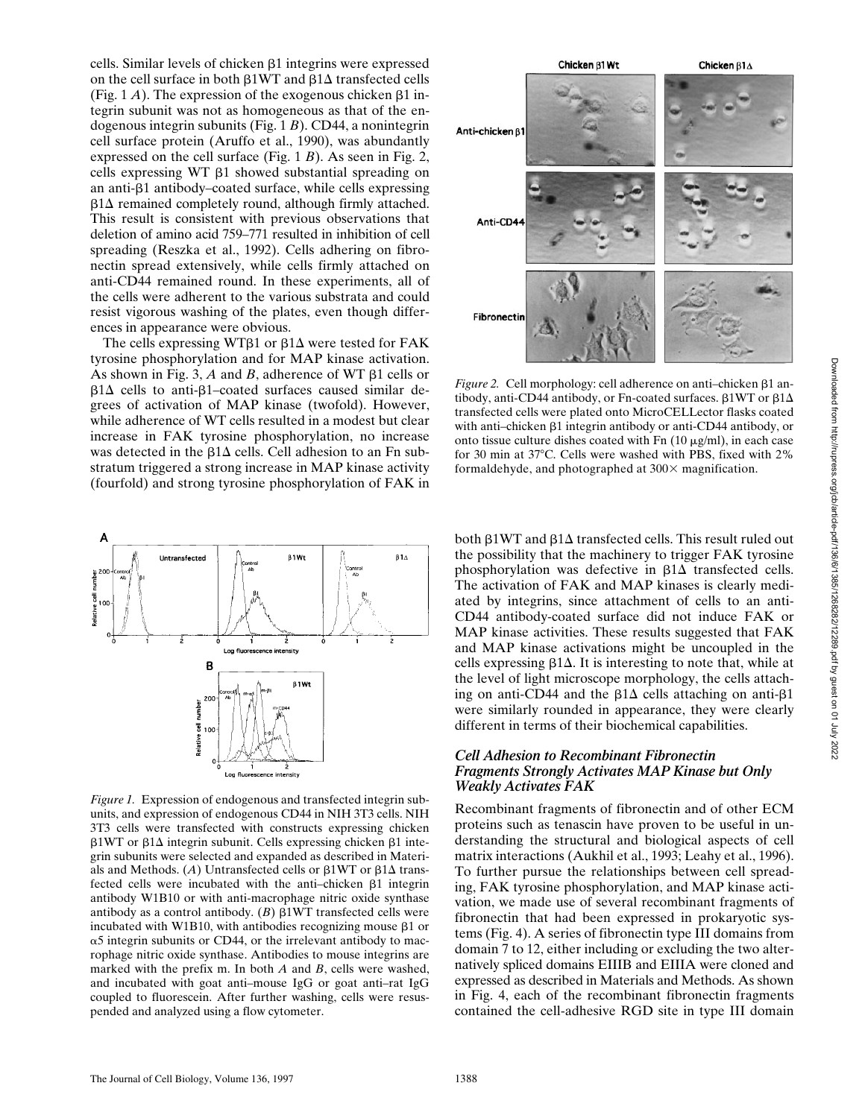cells. Similar levels of chicken  $\beta$ 1 integrins were expressed on the cell surface in both  $\beta$ 1WT and  $\beta$ 1 $\Delta$  transfected cells (Fig. 1  $\dot{A}$ ). The expression of the exogenous chicken  $\beta$ 1 integrin subunit was not as homogeneous as that of the endogenous integrin subunits (Fig. 1 *B*). CD44, a nonintegrin cell surface protein (Aruffo et al., 1990), was abundantly expressed on the cell surface (Fig. 1 *B*). As seen in Fig. 2, cells expressing WT  $\beta$ 1 showed substantial spreading on an anti-b1 antibody–coated surface, while cells expressing  $\beta$ 1 $\Delta$  remained completely round, although firmly attached. This result is consistent with previous observations that deletion of amino acid 759–771 resulted in inhibition of cell spreading (Reszka et al., 1992). Cells adhering on fibronectin spread extensively, while cells firmly attached on anti-CD44 remained round. In these experiments, all of the cells were adherent to the various substrata and could resist vigorous washing of the plates, even though differences in appearance were obvious.

The cells expressing WT $\beta$ 1 or  $\beta$ 1 $\Delta$  were tested for FAK tyrosine phosphorylation and for MAP kinase activation. As shown in Fig. 3, *A* and *B*, adherence of WT  $\beta$ 1 cells or  $\beta$ 1 $\Delta$  cells to anti- $\beta$ 1–coated surfaces caused similar degrees of activation of MAP kinase (twofold). However, while adherence of WT cells resulted in a modest but clear increase in FAK tyrosine phosphorylation, no increase was detected in the  $\beta$ 1 $\Delta$  cells. Cell adhesion to an Fn substratum triggered a strong increase in MAP kinase activity (fourfold) and strong tyrosine phosphorylation of FAK in



*Figure 1.* Expression of endogenous and transfected integrin subunits, and expression of endogenous CD44 in NIH 3T3 cells. NIH 3T3 cells were transfected with constructs expressing chicken  $\beta$ 1WT or  $\beta$ 1 $\Delta$  integrin subunit. Cells expressing chicken  $\beta$ 1 integrin subunits were selected and expanded as described in Materials and Methods. (A) Untransfected cells or  $\beta$ 1WT or  $\beta$ 1 $\Delta$  transfected cells were incubated with the anti-chicken  $\beta$ 1 integrin antibody W1B10 or with anti-macrophage nitric oxide synthase antibody as a control antibody.  $(B)$   $\beta$ 1WT transfected cells were incubated with W1B10, with antibodies recognizing mouse  $\beta$ 1 or  $\alpha$ 5 integrin subunits or CD44, or the irrelevant antibody to macrophage nitric oxide synthase. Antibodies to mouse integrins are marked with the prefix m. In both *A* and *B*, cells were washed, and incubated with goat anti–mouse IgG or goat anti–rat IgG coupled to fluorescein. After further washing, cells were resuspended and analyzed using a flow cytometer.



*Figure 2.* Cell morphology: cell adherence on anti-chicken  $\beta$ 1 antibody, anti-CD44 antibody, or Fn-coated surfaces.  $\beta$ 1WT or  $\beta$ 1 $\Delta$ transfected cells were plated onto MicroCELLector flasks coated with anti-chicken  $\beta$ 1 integrin antibody or anti-CD44 antibody, or onto tissue culture dishes coated with  $Fn(10 \mu g/ml)$ , in each case for 30 min at 37°C. Cells were washed with PBS, fixed with 2% formaldehyde, and photographed at  $300\times$  magnification.

both  $\beta$ 1WT and  $\beta$ 1 $\Delta$  transfected cells. This result ruled out the possibility that the machinery to trigger FAK tyrosine phosphorylation was defective in  $\beta$ 1 $\Delta$  transfected cells. The activation of FAK and MAP kinases is clearly mediated by integrins, since attachment of cells to an anti-CD44 antibody-coated surface did not induce FAK or MAP kinase activities. These results suggested that FAK and MAP kinase activations might be uncoupled in the cells expressing  $\beta$ 1 $\Delta$ . It is interesting to note that, while at the level of light microscope morphology, the cells attaching on anti-CD44 and the  $\beta$ 1 $\Delta$  cells attaching on anti- $\beta$ 1 were similarly rounded in appearance, they were clearly different in terms of their biochemical capabilities.

#### *Cell Adhesion to Recombinant Fibronectin Fragments Strongly Activates MAP Kinase but Only Weakly Activates FAK*

Recombinant fragments of fibronectin and of other ECM proteins such as tenascin have proven to be useful in understanding the structural and biological aspects of cell matrix interactions (Aukhil et al., 1993; Leahy et al., 1996). To further pursue the relationships between cell spreading, FAK tyrosine phosphorylation, and MAP kinase activation, we made use of several recombinant fragments of fibronectin that had been expressed in prokaryotic systems (Fig. 4). A series of fibronectin type III domains from domain 7 to 12, either including or excluding the two alternatively spliced domains EIIIB and EIIIA were cloned and expressed as described in Materials and Methods. As shown in Fig. 4, each of the recombinant fibronectin fragments contained the cell-adhesive RGD site in type III domain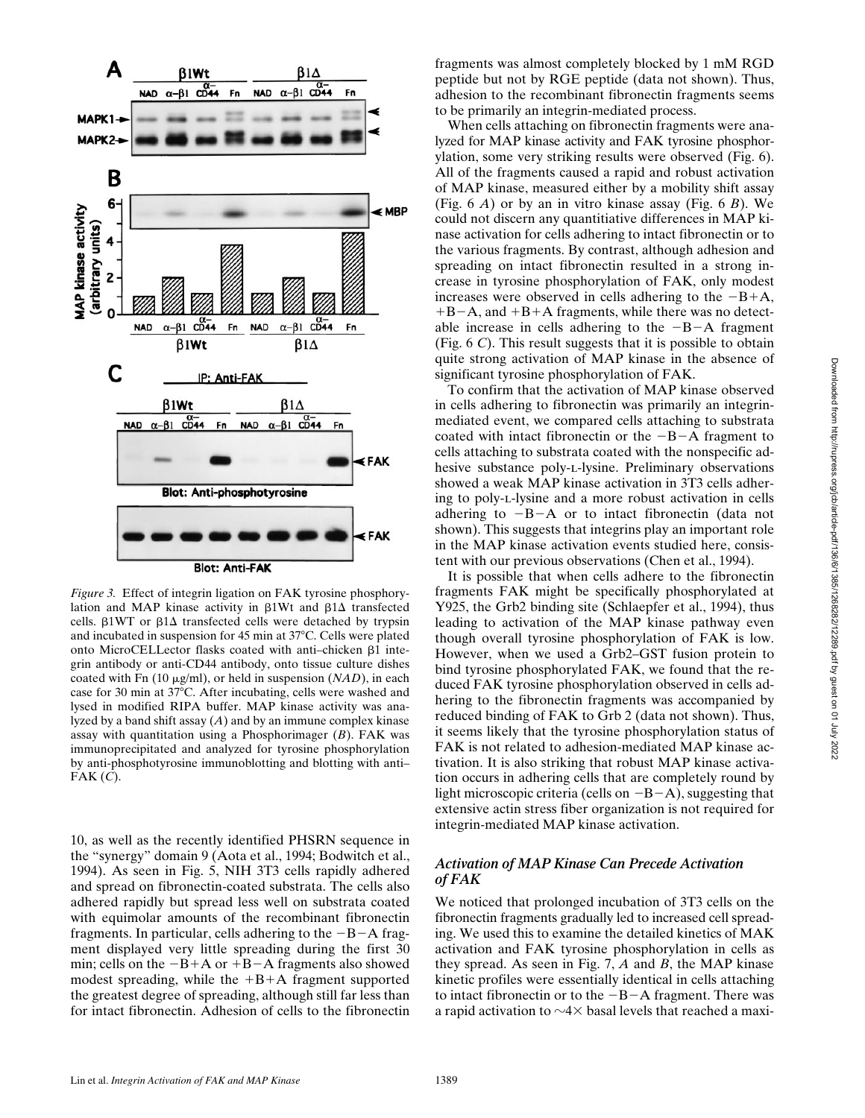

*Figure 3.* Effect of integrin ligation on FAK tyrosine phosphorylation and MAP kinase activity in  $\beta1Wt$  and  $\beta1\Delta$  transfected cells.  $\beta$ 1WT or  $\beta$ 1 $\Delta$  transfected cells were detached by trypsin and incubated in suspension for  $45$  min at  $37^{\circ}$ C. Cells were plated onto MicroCELLector flasks coated with anti-chicken  $\beta$ 1 integrin antibody or anti-CD44 antibody, onto tissue culture dishes coated with Fn (10 mg/ml), or held in suspension (*NAD*), in each case for 30 min at 37°C. After incubating, cells were washed and lysed in modified RIPA buffer. MAP kinase activity was analyzed by a band shift assay (*A*) and by an immune complex kinase assay with quantitation using a Phosphorimager (*B*). FAK was immunoprecipitated and analyzed for tyrosine phosphorylation by anti-phosphotyrosine immunoblotting and blotting with anti– FAK (*C*).

10, as well as the recently identified PHSRN sequence in the "synergy" domain 9 (Aota et al., 1994; Bodwitch et al., 1994). As seen in Fig. 5, NIH 3T3 cells rapidly adhered and spread on fibronectin-coated substrata. The cells also adhered rapidly but spread less well on substrata coated with equimolar amounts of the recombinant fibronectin fragments. In particular, cells adhering to the  $-B-A$  fragment displayed very little spreading during the first 30 min; cells on the  $-B+A$  or  $+B-A$  fragments also showed modest spreading, while the  $+B+A$  fragment supported the greatest degree of spreading, although still far less than for intact fibronectin. Adhesion of cells to the fibronectin

fragments was almost completely blocked by 1 mM RGD peptide but not by RGE peptide (data not shown). Thus, adhesion to the recombinant fibronectin fragments seems to be primarily an integrin-mediated process.

When cells attaching on fibronectin fragments were analyzed for MAP kinase activity and FAK tyrosine phosphorylation, some very striking results were observed (Fig. 6). All of the fragments caused a rapid and robust activation of MAP kinase, measured either by a mobility shift assay (Fig. 6 *A*) or by an in vitro kinase assay (Fig. 6 *B*). We could not discern any quantitiative differences in MAP kinase activation for cells adhering to intact fibronectin or to the various fragments. By contrast, although adhesion and spreading on intact fibronectin resulted in a strong increase in tyrosine phosphorylation of FAK, only modest increases were observed in cells adhering to the  $-B+A$ ,  $+B-A$ , and  $+B+A$  fragments, while there was no detectable increase in cells adhering to the  $-B-A$  fragment (Fig. 6 *C*). This result suggests that it is possible to obtain quite strong activation of MAP kinase in the absence of significant tyrosine phosphorylation of FAK.

To confirm that the activation of MAP kinase observed in cells adhering to fibronectin was primarily an integrinmediated event, we compared cells attaching to substrata coated with intact fibronectin or the  $-B-A$  fragment to cells attaching to substrata coated with the nonspecific adhesive substance poly-l-lysine. Preliminary observations showed a weak MAP kinase activation in 3T3 cells adhering to poly-l-lysine and a more robust activation in cells adhering to  $-B-A$  or to intact fibronectin (data not shown). This suggests that integrins play an important role in the MAP kinase activation events studied here, consistent with our previous observations (Chen et al., 1994).

It is possible that when cells adhere to the fibronectin fragments FAK might be specifically phosphorylated at Y925, the Grb2 binding site (Schlaepfer et al., 1994), thus leading to activation of the MAP kinase pathway even though overall tyrosine phosphorylation of FAK is low. However, when we used a Grb2–GST fusion protein to bind tyrosine phosphorylated FAK, we found that the reduced FAK tyrosine phosphorylation observed in cells adhering to the fibronectin fragments was accompanied by reduced binding of FAK to Grb 2 (data not shown). Thus, it seems likely that the tyrosine phosphorylation status of FAK is not related to adhesion-mediated MAP kinase activation. It is also striking that robust MAP kinase activation occurs in adhering cells that are completely round by light microscopic criteria (cells on  $-B-A$ ), suggesting that extensive actin stress fiber organization is not required for integrin-mediated MAP kinase activation.

#### *Activation of MAP Kinase Can Precede Activation of FAK*

We noticed that prolonged incubation of 3T3 cells on the fibronectin fragments gradually led to increased cell spreading. We used this to examine the detailed kinetics of MAK activation and FAK tyrosine phosphorylation in cells as they spread. As seen in Fig. 7, *A* and *B*, the MAP kinase kinetic profiles were essentially identical in cells attaching to intact fibronectin or to the  $-B-A$  fragment. There was a rapid activation to  $\sim$ 4 $\times$  basal levels that reached a maxi-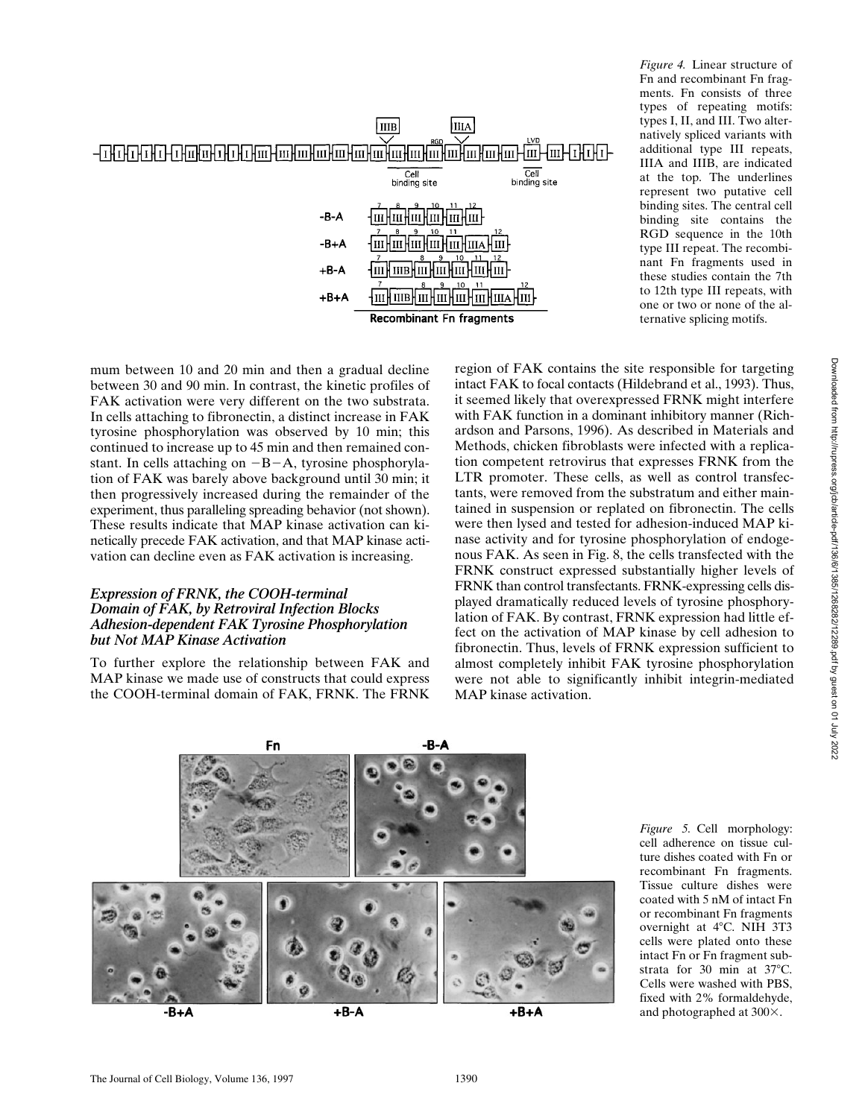

*Figure 4.* Linear structure of Fn and recombinant Fn fragments. Fn consists of three types of repeating motifs: types I, II, and III. Two alternatively spliced variants with additional type III repeats, IIIA and IIIB, are indicated at the top. The underlines represent two putative cell binding sites. The central cell binding site contains the RGD sequence in the 10th type III repeat. The recombinant Fn fragments used in these studies contain the 7th to 12th type III repeats, with one or two or none of the alternative splicing motifs.

mum between 10 and 20 min and then a gradual decline between 30 and 90 min. In contrast, the kinetic profiles of FAK activation were very different on the two substrata. In cells attaching to fibronectin, a distinct increase in FAK tyrosine phosphorylation was observed by 10 min; this continued to increase up to 45 min and then remained constant. In cells attaching on  $-B-A$ , tyrosine phosphorylation of FAK was barely above background until 30 min; it then progressively increased during the remainder of the experiment, thus paralleling spreading behavior (not shown). These results indicate that MAP kinase activation can kinetically precede FAK activation, and that MAP kinase activation can decline even as FAK activation is increasing.

#### *Expression of FRNK, the COOH-terminal Domain of FAK, by Retroviral Infection Blocks Adhesion-dependent FAK Tyrosine Phosphorylation but Not MAP Kinase Activation*

To further explore the relationship between FAK and MAP kinase we made use of constructs that could express the COOH-terminal domain of FAK, FRNK. The FRNK region of FAK contains the site responsible for targeting intact FAK to focal contacts (Hildebrand et al., 1993). Thus, it seemed likely that overexpressed FRNK might interfere with FAK function in a dominant inhibitory manner (Richardson and Parsons, 1996). As described in Materials and Methods, chicken fibroblasts were infected with a replication competent retrovirus that expresses FRNK from the LTR promoter. These cells, as well as control transfectants, were removed from the substratum and either maintained in suspension or replated on fibronectin. The cells were then lysed and tested for adhesion-induced MAP kinase activity and for tyrosine phosphorylation of endogenous FAK. As seen in Fig. 8, the cells transfected with the FRNK construct expressed substantially higher levels of FRNK than control transfectants. FRNK-expressing cells displayed dramatically reduced levels of tyrosine phosphorylation of FAK. By contrast, FRNK expression had little effect on the activation of MAP kinase by cell adhesion to fibronectin. Thus, levels of FRNK expression sufficient to almost completely inhibit FAK tyrosine phosphorylation were not able to significantly inhibit integrin-mediated MAP kinase activation.



*Figure 5.* Cell morphology: cell adherence on tissue culture dishes coated with Fn or recombinant Fn fragments. Tissue culture dishes were coated with 5 nM of intact Fn or recombinant Fn fragments overnight at 4°C. NIH 3T3 cells were plated onto these intact Fn or Fn fragment substrata for 30 min at  $37^{\circ}$ C. Cells were washed with PBS, fixed with 2% formaldehyde, and photographed at  $300\times$ .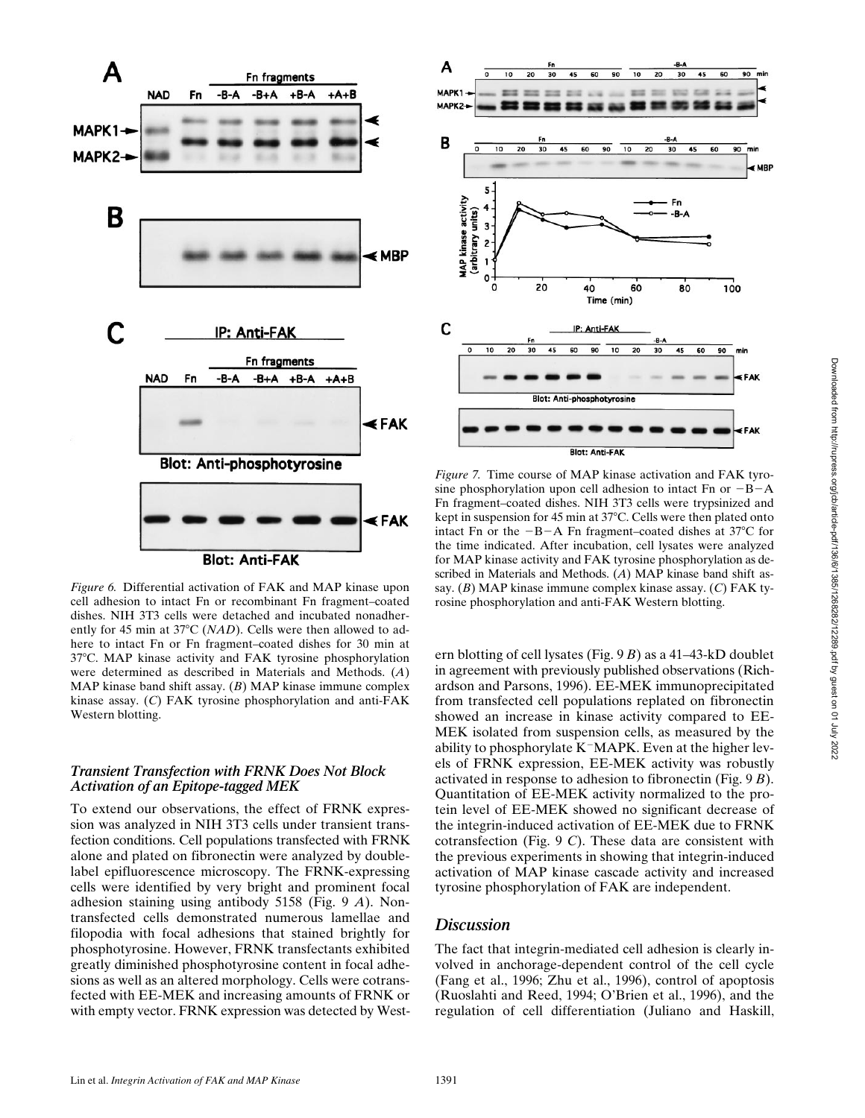

*Figure 6.* Differential activation of FAK and MAP kinase upon cell adhesion to intact Fn or recombinant Fn fragment–coated dishes. NIH 3T3 cells were detached and incubated nonadherently for 45 min at 37°C (*NAD*). Cells were then allowed to adhere to intact Fn or Fn fragment–coated dishes for 30 min at 378C. MAP kinase activity and FAK tyrosine phosphorylation were determined as described in Materials and Methods. (*A*) MAP kinase band shift assay. (*B*) MAP kinase immune complex kinase assay. (*C*) FAK tyrosine phosphorylation and anti-FAK Western blotting.

#### *Transient Transfection with FRNK Does Not Block Activation of an Epitope-tagged MEK*

To extend our observations, the effect of FRNK expression was analyzed in NIH 3T3 cells under transient transfection conditions. Cell populations transfected with FRNK alone and plated on fibronectin were analyzed by doublelabel epifluorescence microscopy. The FRNK-expressing cells were identified by very bright and prominent focal adhesion staining using antibody 5158 (Fig. 9 *A*). Nontransfected cells demonstrated numerous lamellae and filopodia with focal adhesions that stained brightly for phosphotyrosine. However, FRNK transfectants exhibited greatly diminished phosphotyrosine content in focal adhesions as well as an altered morphology. Cells were cotransfected with EE-MEK and increasing amounts of FRNK or with empty vector. FRNK expression was detected by West-



*Figure 7.* Time course of MAP kinase activation and FAK tyrosine phosphorylation upon cell adhesion to intact Fn or  $-B-A$ Fn fragment–coated dishes. NIH 3T3 cells were trypsinized and kept in suspension for 45 min at 37°C. Cells were then plated onto intact Fn or the  $-B-A$  Fn fragment–coated dishes at 37 $\degree$ C for the time indicated. After incubation, cell lysates were analyzed for MAP kinase activity and FAK tyrosine phosphorylation as described in Materials and Methods. (*A*) MAP kinase band shift assay. (*B*) MAP kinase immune complex kinase assay. (*C*) FAK tyrosine phosphorylation and anti-FAK Western blotting.

ern blotting of cell lysates (Fig. 9 *B*) as a 41–43-kD doublet in agreement with previously published observations (Richardson and Parsons, 1996). EE-MEK immunoprecipitated from transfected cell populations replated on fibronectin showed an increase in kinase activity compared to EE-MEK isolated from suspension cells, as measured by the ability to phosphorylate  $K<sup>-</sup>MAPK$ . Even at the higher levels of FRNK expression, EE-MEK activity was robustly activated in response to adhesion to fibronectin (Fig. 9 *B*). Quantitation of EE-MEK activity normalized to the protein level of EE-MEK showed no significant decrease of the integrin-induced activation of EE-MEK due to FRNK cotransfection (Fig. 9 *C*). These data are consistent with the previous experiments in showing that integrin-induced activation of MAP kinase cascade activity and increased tyrosine phosphorylation of FAK are independent.

## *Discussion*

The fact that integrin-mediated cell adhesion is clearly involved in anchorage-dependent control of the cell cycle (Fang et al., 1996; Zhu et al., 1996), control of apoptosis (Ruoslahti and Reed, 1994; O'Brien et al., 1996), and the regulation of cell differentiation (Juliano and Haskill,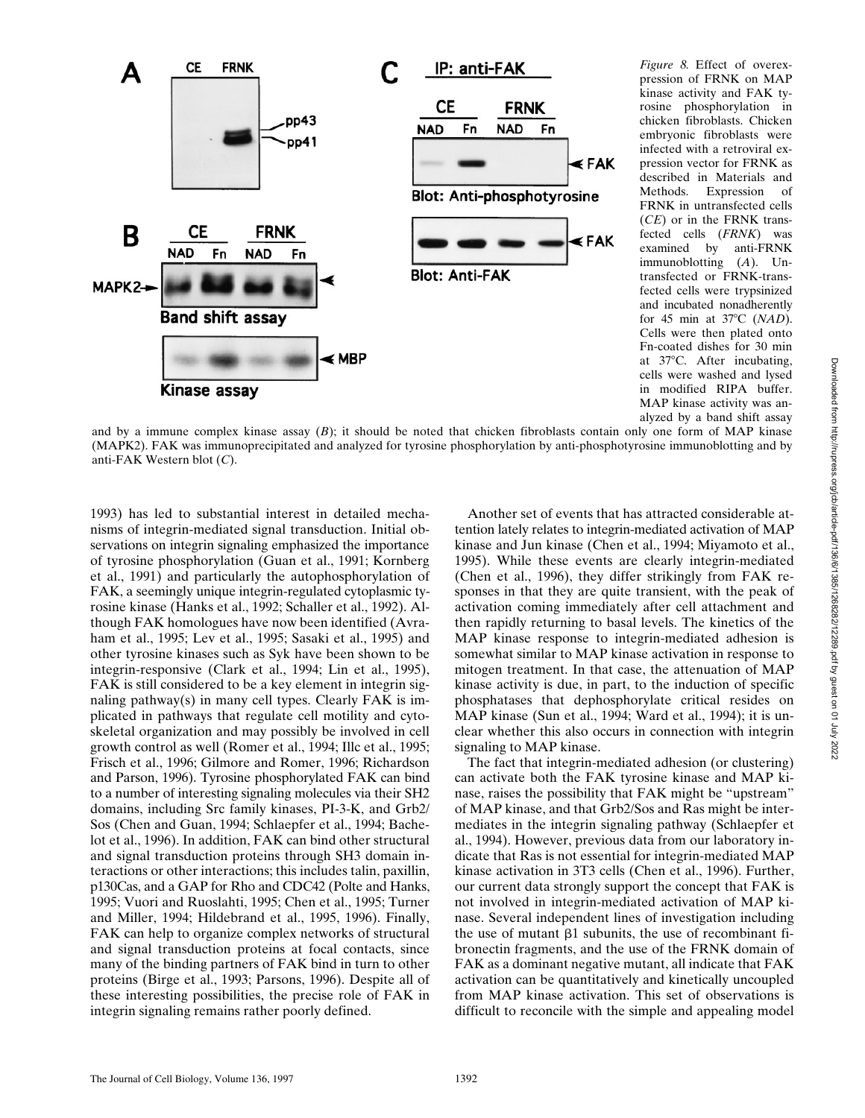

*Figure 8.* Effect of overexpression of FRNK on MAP kinase activity and FAK tyrosine phosphorylation in chicken fibroblasts. Chicken embryonic fibroblasts were infected with a retroviral expression vector for FRNK as described in Materials and Methods. Expression of FRNK in untransfected cells (*CE*) or in the FRNK transfected cells (*FRNK*) was examined by anti-FRNK immunoblotting (*A*). Untransfected or FRNK-transfected cells were trypsinized and incubated nonadherently for 45 min at 37°C (*NAD*). Cells were then plated onto Fn-coated dishes for 30 min at  $37^{\circ}$ C. After incubating, cells were washed and lysed in modified RIPA buffer. MAP kinase activity was analyzed by a band shift assay

and by a immune complex kinase assay (*B*); it should be noted that chicken fibroblasts contain only one form of MAP kinase (MAPK2). FAK was immunoprecipitated and analyzed for tyrosine phosphorylation by anti-phosphotyrosine immunoblotting and by anti-FAK Western blot (*C*).

1993) has led to substantial interest in detailed mechanisms of integrin-mediated signal transduction. Initial observations on integrin signaling emphasized the importance of tyrosine phosphorylation (Guan et al., 1991; Kornberg et al., 1991) and particularly the autophosphorylation of FAK, a seemingly unique integrin-regulated cytoplasmic tyrosine kinase (Hanks et al., 1992; Schaller et al., 1992). Although FAK homologues have now been identified (Avraham et al., 1995; Lev et al., 1995; Sasaki et al., 1995) and other tyrosine kinases such as Syk have been shown to be integrin-responsive (Clark et al., 1994; Lin et al., 1995), FAK is still considered to be a key element in integrin signaling pathway(s) in many cell types. Clearly FAK is implicated in pathways that regulate cell motility and cytoskeletal organization and may possibly be involved in cell growth control as well (Romer et al., 1994; Illc et al., 1995; Frisch et al., 1996; Gilmore and Romer, 1996; Richardson and Parson, 1996). Tyrosine phosphorylated FAK can bind to a number of interesting signaling molecules via their SH2 domains, including Src family kinases, PI-3-K, and Grb2/ Sos (Chen and Guan, 1994; Schlaepfer et al., 1994; Bachelot et al., 1996). In addition, FAK can bind other structural and signal transduction proteins through SH3 domain interactions or other interactions; this includes talin, paxillin, p130Cas, and a GAP for Rho and CDC42 (Polte and Hanks, 1995; Vuori and Ruoslahti, 1995; Chen et al., 1995; Turner and Miller, 1994; Hildebrand et al., 1995, 1996). Finally, FAK can help to organize complex networks of structural and signal transduction proteins at focal contacts, since many of the binding partners of FAK bind in turn to other proteins (Birge et al., 1993; Parsons, 1996). Despite all of these interesting possibilities, the precise role of FAK in integrin signaling remains rather poorly defined.

Another set of events that has attracted considerable attention lately relates to integrin-mediated activation of MAP kinase and Jun kinase (Chen et al., 1994; Miyamoto et al., 1995). While these events are clearly integrin-mediated (Chen et al., 1996), they differ strikingly from FAK responses in that they are quite transient, with the peak of activation coming immediately after cell attachment and then rapidly returning to basal levels. The kinetics of the MAP kinase response to integrin-mediated adhesion is somewhat similar to MAP kinase activation in response to mitogen treatment. In that case, the attenuation of MAP kinase activity is due, in part, to the induction of specific phosphatases that dephosphorylate critical resides on MAP kinase (Sun et al., 1994; Ward et al., 1994); it is unclear whether this also occurs in connection with integrin signaling to MAP kinase.

The fact that integrin-mediated adhesion (or clustering) can activate both the FAK tyrosine kinase and MAP kinase, raises the possibility that FAK might be "upstream" of MAP kinase, and that Grb2/Sos and Ras might be intermediates in the integrin signaling pathway (Schlaepfer et al., 1994). However, previous data from our laboratory indicate that Ras is not essential for integrin-mediated MAP kinase activation in 3T3 cells (Chen et al., 1996). Further, our current data strongly support the concept that FAK is not involved in integrin-mediated activation of MAP kinase. Several independent lines of investigation including the use of mutant  $\beta$ 1 subunits, the use of recombinant fibronectin fragments, and the use of the FRNK domain of FAK as a dominant negative mutant, all indicate that FAK activation can be quantitatively and kinetically uncoupled from MAP kinase activation. This set of observations is difficult to reconcile with the simple and appealing model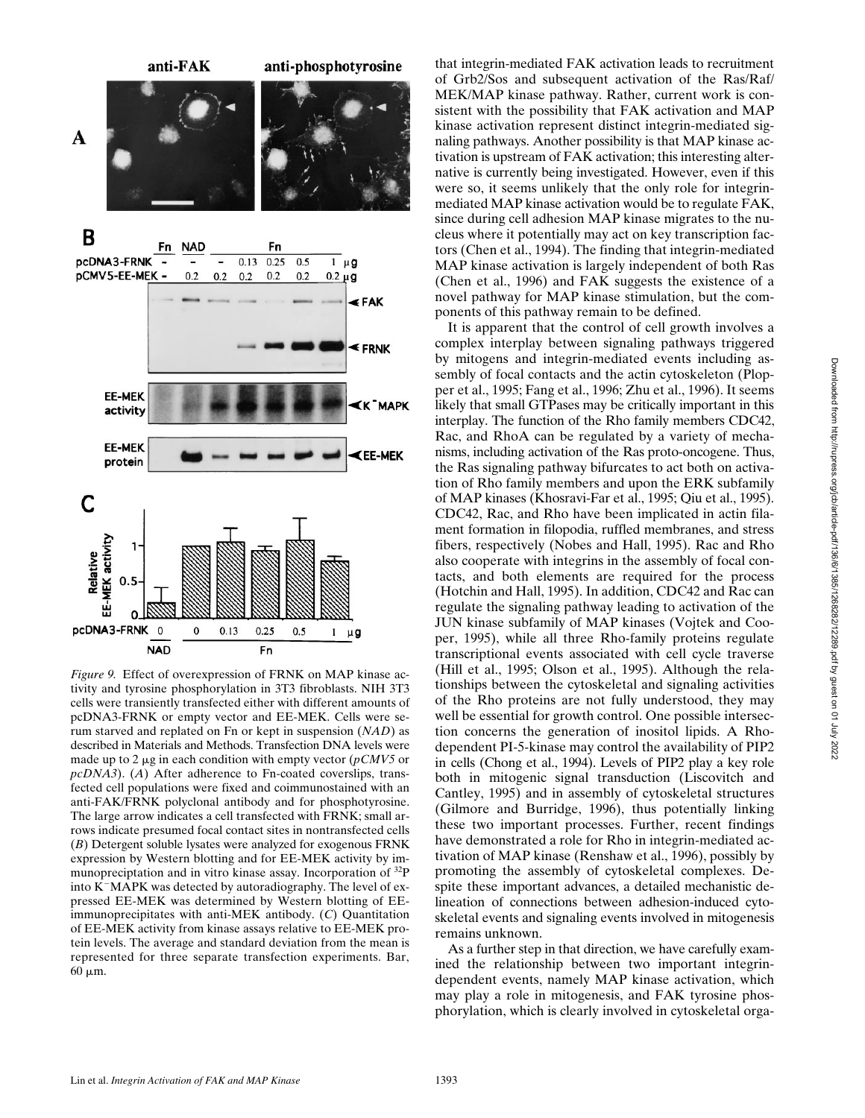

*Figure 9.* Effect of overexpression of FRNK on MAP kinase activity and tyrosine phosphorylation in 3T3 fibroblasts. NIH 3T3 cells were transiently transfected either with different amounts of pcDNA3-FRNK or empty vector and EE-MEK. Cells were serum starved and replated on Fn or kept in suspension (*NAD*) as described in Materials and Methods. Transfection DNA levels were made up to 2  $\mu$ g in each condition with empty vector ( $pCMV5$  or *pcDNA3*). (*A*) After adherence to Fn-coated coverslips, transfected cell populations were fixed and coimmunostained with an anti-FAK/FRNK polyclonal antibody and for phosphotyrosine. The large arrow indicates a cell transfected with FRNK; small arrows indicate presumed focal contact sites in nontransfected cells (*B*) Detergent soluble lysates were analyzed for exogenous FRNK expression by Western blotting and for EE-MEK activity by immunopreciptation and in vitro kinase assay. Incorporation of 32P into  $K<sup>-</sup>MAPK$  was detected by autoradiography. The level of expressed EE-MEK was determined by Western blotting of EEimmunoprecipitates with anti-MEK antibody. (*C*) Quantitation of EE-MEK activity from kinase assays relative to EE-MEK protein levels. The average and standard deviation from the mean is represented for three separate transfection experiments. Bar,  $60 \mu m$ .

that integrin-mediated FAK activation leads to recruitment of Grb2/Sos and subsequent activation of the Ras/Raf/ MEK/MAP kinase pathway. Rather, current work is consistent with the possibility that FAK activation and MAP kinase activation represent distinct integrin-mediated signaling pathways. Another possibility is that MAP kinase activation is upstream of FAK activation; this interesting alternative is currently being investigated. However, even if this were so, it seems unlikely that the only role for integrinmediated MAP kinase activation would be to regulate FAK, since during cell adhesion MAP kinase migrates to the nucleus where it potentially may act on key transcription factors (Chen et al., 1994). The finding that integrin-mediated MAP kinase activation is largely independent of both Ras (Chen et al., 1996) and FAK suggests the existence of a novel pathway for MAP kinase stimulation, but the components of this pathway remain to be defined.

It is apparent that the control of cell growth involves a complex interplay between signaling pathways triggered by mitogens and integrin-mediated events including assembly of focal contacts and the actin cytoskeleton (Plopper et al., 1995; Fang et al., 1996; Zhu et al., 1996). It seems likely that small GTPases may be critically important in this interplay. The function of the Rho family members CDC42, Rac, and RhoA can be regulated by a variety of mechanisms, including activation of the Ras proto-oncogene. Thus, the Ras signaling pathway bifurcates to act both on activation of Rho family members and upon the ERK subfamily of MAP kinases (Khosravi-Far et al., 1995; Qiu et al., 1995). CDC42, Rac, and Rho have been implicated in actin filament formation in filopodia, ruffled membranes, and stress fibers, respectively (Nobes and Hall, 1995). Rac and Rho also cooperate with integrins in the assembly of focal contacts, and both elements are required for the process (Hotchin and Hall, 1995). In addition, CDC42 and Rac can regulate the signaling pathway leading to activation of the JUN kinase subfamily of MAP kinases (Vojtek and Cooper, 1995), while all three Rho-family proteins regulate transcriptional events associated with cell cycle traverse (Hill et al., 1995; Olson et al., 1995). Although the relationships between the cytoskeletal and signaling activities of the Rho proteins are not fully understood, they may well be essential for growth control. One possible intersection concerns the generation of inositol lipids. A Rhodependent PI-5-kinase may control the availability of PIP2 in cells (Chong et al., 1994). Levels of PIP2 play a key role both in mitogenic signal transduction (Liscovitch and Cantley, 1995) and in assembly of cytoskeletal structures (Gilmore and Burridge, 1996), thus potentially linking these two important processes. Further, recent findings have demonstrated a role for Rho in integrin-mediated activation of MAP kinase (Renshaw et al., 1996), possibly by promoting the assembly of cytoskeletal complexes. Despite these important advances, a detailed mechanistic delineation of connections between adhesion-induced cytoskeletal events and signaling events involved in mitogenesis remains unknown.

As a further step in that direction, we have carefully examined the relationship between two important integrindependent events, namely MAP kinase activation, which may play a role in mitogenesis, and FAK tyrosine phosphorylation, which is clearly involved in cytoskeletal orga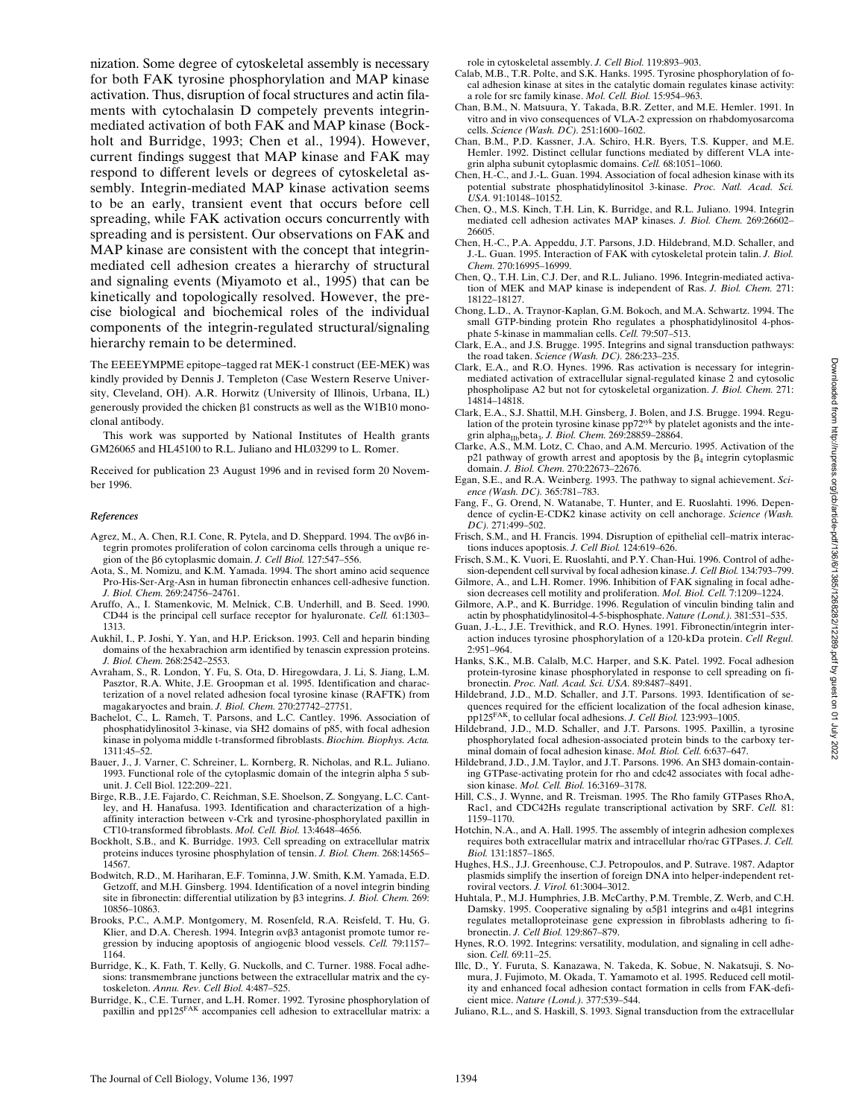nization. Some degree of cytoskeletal assembly is necessary for both FAK tyrosine phosphorylation and MAP kinase activation. Thus, disruption of focal structures and actin filaments with cytochalasin D competely prevents integrinmediated activation of both FAK and MAP kinase (Bockholt and Burridge, 1993; Chen et al., 1994). However, current findings suggest that MAP kinase and FAK may respond to different levels or degrees of cytoskeletal assembly. Integrin-mediated MAP kinase activation seems to be an early, transient event that occurs before cell spreading, while FAK activation occurs concurrently with spreading and is persistent. Our observations on FAK and MAP kinase are consistent with the concept that integrinmediated cell adhesion creates a hierarchy of structural and signaling events (Miyamoto et al., 1995) that can be kinetically and topologically resolved. However, the precise biological and biochemical roles of the individual components of the integrin-regulated structural/signaling hierarchy remain to be determined.

The EEEEYMPME epitope–tagged rat MEK-1 construct (EE-MEK) was kindly provided by Dennis J. Templeton (Case Western Reserve University, Cleveland, OH). A.R. Horwitz (University of Illinois, Urbana, IL) generously provided the chicken  $\beta$ 1 constructs as well as the W1B10 monoclonal antibody.

This work was supported by National Institutes of Health grants GM26065 and HL45100 to R.L. Juliano and HL03299 to L. Romer.

Received for publication 23 August 1996 and in revised form 20 November 1996.

#### *References*

- Agrez, M., A. Chen, R.I. Cone, R. Pytela, and D. Sheppard. 1994. The  $\alpha v \beta 6$  integrin promotes proliferation of colon carcinoma cells through a unique region of the b6 cytoplasmic domain. *J. Cell Biol.* 127:547–556.
- Aota, S., M. Nomizu, and K.M. Yamada. 1994. The short amino acid sequence Pro-His-Ser-Arg-Asn in human fibronectin enhances cell-adhesive function. *J. Biol. Chem.* 269:24756–24761.
- Aruffo, A., I. Stamenkovic, M. Melnick, C.B. Underhill, and B. Seed. 1990. CD44 is the principal cell surface receptor for hyaluronate. *Cell.* 61:1303– 1313.
- Aukhil, I., P. Joshi, Y. Yan, and H.P. Erickson. 1993. Cell and heparin binding domains of the hexabrachion arm identified by tenascin expression proteins. *J. Biol. Chem.* 268:2542–2553.
- Avraham, S., R. London, Y. Fu, S. Ota, D. Hiregowdara, J. Li, S. Jiang, L.M. Pasztor, R.A. White, J.E. Groopman et al. 1995. Identification and characterization of a novel related adhesion focal tyrosine kinase (RAFTK) from magakaryoctes and brain. *J. Biol. Chem.* 270:27742–27751.
- Bachelot, C., L. Rameh, T. Parsons, and L.C. Cantley. 1996. Association of phosphatidylinositol 3-kinase, via SH2 domains of p85, with focal adhesion kinase in polyoma middle t-transformed fibroblasts. *Biochim. Biophys. Acta.* 1311:45–52.
- Bauer, J., J. Varner, C. Schreiner, L. Kornberg, R. Nicholas, and R.L. Juliano. 1993. Functional role of the cytoplasmic domain of the integrin alpha 5 subunit. J. Cell Biol. 122:209–221.
- Birge, R.B., J.E. Fajardo, C. Reichman, S.E. Shoelson, Z. Songyang, L.C. Cantley, and H. Hanafusa. 1993. Identification and characterization of a highaffinity interaction between v-Crk and tyrosine-phosphorylated paxillin in CT10-transformed fibroblasts. *Mol. Cell. Biol.* 13:4648–4656.
- Bockholt, S.B., and K. Burridge. 1993. Cell spreading on extracellular matrix proteins induces tyrosine phosphylation of tensin. *J. Biol. Chem.* 268:14565– 14567.
- Bodwitch, R.D., M. Hariharan, E.F. Tominna, J.W. Smith, K.M. Yamada, E.D. Getzoff, and M.H. Ginsberg. 1994. Identification of a novel integrin binding site in fibronectin: differential utilization by  $\beta$ 3 integrins. *J. Biol. Chem.* 269: 10856–10863.
- Brooks, P.C., A.M.P. Montgomery, M. Rosenfeld, R.A. Reisfeld, T. Hu, G. Klier, and D.A. Cheresh. 1994. Integrin  $\alpha v\beta$ 3 antagonist promote tumor regression by inducing apoptosis of angiogenic blood vessels. *Cell.* 79:1157– 1164.
- Burridge, K., K. Fath, T. Kelly, G. Nuckolls, and C. Turner. 1988. Focal adhesions: transmembrane junctions between the extracellular matrix and the cytoskeleton. *Annu. Rev. Cell Biol.* 4:487–525.
- Burridge, K., C.E. Turner, and L.H. Romer. 1992. Tyrosine phosphorylation of paxillin and pp125FAK accompanies cell adhesion to extracellular matrix: a

role in cytoskeletal assembly. *J. Cell Biol.* 119:893–903.

- Calab, M.B., T.R. Polte, and S.K. Hanks. 1995. Tyrosine phosphorylation of focal adhesion kinase at sites in the catalytic domain regulates kinase activity: a role for src family kinase. *Mol. Cell. Biol.* 15:954–963.
- Chan, B.M., N. Matsuura, Y. Takada, B.R. Zetter, and M.E. Hemler. 1991. In vitro and in vivo consequences of VLA-2 expression on rhabdomyosarcoma cells. *Science (Wash. DC).* 251:1600–1602.
- Chan, B.M., P.D. Kassner, J.A. Schiro, H.R. Byers, T.S. Kupper, and M.E. Hemler. 1992. Distinct cellular functions mediated by different VLA integrin alpha subunit cytoplasmic domains. *Cell.* 68:1051–1060.
- Chen, H.-C., and J.-L. Guan. 1994. Association of focal adhesion kinase with its potential substrate phosphatidylinositol 3-kinase. *Proc. Natl. Acad. Sci. USA.* 91:10148–10152.
- Chen, Q., M.S. Kinch, T.H. Lin, K. Burridge, and R.L. Juliano. 1994. Integrin mediated cell adhesion activates MAP kinases. *J. Biol. Chem.* 269:26602– 26605.
- Chen, H.-C., P.A. Appeddu, J.T. Parsons, J.D. Hildebrand, M.D. Schaller, and J.-L. Guan. 1995. Interaction of FAK with cytoskeletal protein talin. *J. Biol. Chem.* 270:16995–16999.
- Chen, Q., T.H. Lin, C.J. Der, and R.L. Juliano. 1996. Integrin-mediated activation of MEK and MAP kinase is independent of Ras. *J. Biol. Chem.* 271: 18122–18127.
- Chong, L.D., A. Traynor-Kaplan, G.M. Bokoch, and M.A. Schwartz. 1994. The small GTP-binding protein Rho regulates a phosphatidylinositol 4-phos-phate 5-kinase in mammalian cells. *Cell.* 79:507–513.
- Clark, E.A., and J.S. Brugge. 1995. Integrins and signal transduction pathways: the road taken. *Science (Wash. DC).* 286:233–235.
- Clark, E.A., and R.O. Hynes. 1996. Ras activation is necessary for integrinmediated activation of extracellular signal-regulated kinase 2 and cytosolic phospholipase A2 but not for cytoskeletal organization. *J. Biol. Chem.* 271: 14814–14818.
- Clark, E.A., S.J. Shattil, M.H. Ginsberg, J. Bolen, and J.S. Brugge. 1994. Regulation of the protein tyrosine kinase pp72syk by platelet agonists and the integrin alpha<sub>IIb</sub>beta<sub>3</sub>. *J. Biol. Chem.* 269:28859-28864.
- Clarke, A.S., M.M. Lotz, C. Chao, and A.M. Mercurio. 1995. Activation of the p21 pathway of growth arrest and apoptosis by the  $\beta_4$  integrin cytoplasmic domain. *J. Biol. Chem.* 270:22673–22676.
- Egan, S.E., and R.A. Weinberg. 1993. The pathway to signal achievement. *Science (Wash. DC).* 365:781–783.
- Fang, F., G. Orend, N. Watanabe, T. Hunter, and E. Ruoslahti. 1996. Dependence of cyclin-E-CDK2 kinase activity on cell anchorage. *Science (Wash. DC).* 271:499–502.
- Frisch, S.M., and H. Francis. 1994. Disruption of epithelial cell–matrix interactions induces apoptosis. *J. Cell Biol.* 124:619–626.
- Frisch, S.M., K. Vuori, E. Ruoslahti, and P.Y. Chan-Hui. 1996. Control of adhesion-dependent cell survival by focal adhesion kinase. *J. Cell Biol.* 134:793–799.
- Gilmore, A., and L.H. Romer. 1996. Inhibition of FAK signaling in focal adhesion decreases cell motility and proliferation. *Mol. Biol. Cell.* 7:1209–1224.
- Gilmore, A.P., and K. Burridge. 1996. Regulation of vinculin binding talin and actin by phosphatidylinositol-4-5-bisphosphate. *Nature (Lond.).* 381:531–535.
- Guan, J.-L., J.E. Trevithick, and R.O. Hynes. 1991. Fibronectin/integrin interaction induces tyrosine phosphorylation of a 120-kDa protein. *Cell Regul.* 2:951–964.
- Hanks, S.K., M.B. Calalb, M.C. Harper, and S.K. Patel. 1992. Focal adhesion protein-tyrosine kinase phosphorylated in response to cell spreading on fibronectin. *Proc. Natl. Acad. Sci. USA.* 89:8487–8491.
- Hildebrand, J.D., M.D. Schaller, and J.T. Parsons. 1993. Identification of sequences required for the efficient localization of the focal adhesion kinase, pp125FAK, to cellular focal adhesions. *J. Cell Biol.* 123:993–1005.
- Hildebrand, J.D., M.D. Schaller, and J.T. Parsons. 1995. Paxillin, a tyrosine phosphorylated focal adhesion-associated protein binds to the carboxy terminal domain of focal adhesion kinase. *Mol. Biol. Cell.* 6:637–647.
- Hildebrand, J.D., J.M. Taylor, and J.T. Parsons. 1996. An SH3 domain-containing GTPase-activating protein for rho and cdc42 associates with focal adhesion kinase. *Mol. Cell. Biol.* 16:3169–3178.
- Hill, C.S., J. Wynne, and R. Treisman. 1995. The Rho family GTPases RhoA, Rac1, and CDC42Hs regulate transcriptional activation by SRF. *Cell.* 81: 1159–1170.
- Hotchin, N.A., and A. Hall. 1995. The assembly of integrin adhesion complexes requires both extracellular matrix and intracellular rho/rac GTPases. *J. Cell. Biol.* 131:1857–1865.
- Hughes, H.S., J.J. Greenhouse, C.J. Petropoulos, and P. Sutrave. 1987. Adaptor plasmids simplify the insertion of foreign DNA into helper-independent retroviral vectors. *J. Virol.* 61:3004–3012.
- Huhtala, P., M.J. Humphries, J.B. McCarthy, P.M. Tremble, Z. Werb, and C.H. Damsky. 1995. Cooperative signaling by  $\alpha$ 5 $\beta$ 1 integrins and  $\alpha$ 4 $\beta$ 1 integrins regulates metalloproteinase gene expression in fibroblasts adhering to fibronectin. *J. Cell Biol.* 129:867–879.
- Hynes, R.O. 1992. Integrins: versatility, modulation, and signaling in cell adhesion. *Cell.* 69:11–25.
- Illc, D., Y. Furuta, S. Kanazawa, N. Takeda, K. Sobue, N. Nakatsuji, S. Nomura, J. Fujimoto, M. Okada, T. Yamamoto et al. 1995. Reduced cell motility and enhanced focal adhesion contact formation in cells from FAK-deficient mice. *Nature (Lond.).* 377:539–544.
- Juliano, R.L., and S. Haskill, S. 1993. Signal transduction from the extracellular